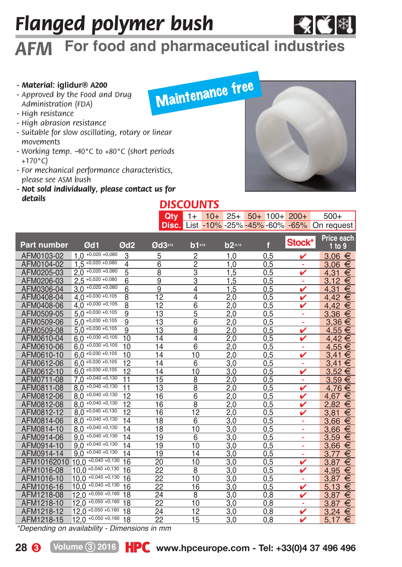# *Flanged polymer bush*

# *AFM* **For food and pharmaceutical industries**

#### *- Material:* **iglidur®** *A200*

- *Approved by the Food and Drug Administration (FDA)*
- *High resistance*
- *High abrasion resistance*
- *Suitable for slow oscillating, rotary or linear movements*
- *Working temp. -40°C to +80°C (short periods +170°C)*
- *For mechanical performance characteristics, please see ASM bush*
- *Not sold individually, please contact us for details*

# Maintenance free

◆ビ制

| <b>DISCOUNTS</b> |  |  |  |  |  |  |                                                       |  |  |
|------------------|--|--|--|--|--|--|-------------------------------------------------------|--|--|
|                  |  |  |  |  |  |  | Qty 1+ $10+ 25+ 50+ 100+ 200+ 500+$                   |  |  |
|                  |  |  |  |  |  |  | <b>Disc.</b> List -10% -25% -45% -60% -65% On request |  |  |

| <b>Part number</b> | Ød1                      | Ød <sub>2</sub> | Ød3413          | b1 <sub>h13</sub> | b2-0.14           | f   | Stock* | <b>Price each</b><br>1 to 9 |
|--------------------|--------------------------|-----------------|-----------------|-------------------|-------------------|-----|--------|-----------------------------|
| AFM0103-02         | $+0,020 +0,080$<br>1.0   | 3               | 5               | 2                 | 1.0               | 0.5 |        | 3.06<br>€                   |
| AFM0104-02         | $1.5 +0.020 +0.080$      | 4               | 6               | 2                 | 1.0               | 0,5 | ۰      | €<br>3.06                   |
| AFM0205-03         | $2.0 + 0.020 + 0.080$    | 5               | 8               | 3                 | 1,5               | 0,5 |        | 4.31<br>€                   |
| AFM0206-03         | $2.5 + 0.020 + 0.080$    | $\overline{6}$  | 9               | 3                 | 1.5               | 0,5 | ÷      | €<br>3.12                   |
| AFM0306-04         | $3.0 + 0.020 + 0.080$    | 6               | 9               | 4                 | 1.5               | 0.5 | v      | €<br>4.31                   |
| AFM0408-04         | $4.0 +0.030 +0.105$      | 8               | 12              | 4                 | 2,0               | 0,5 |        | €<br>4.42                   |
| AFM0408-06         | $4.0 +0.030 +0.105$      | 8               | 12              | 6                 | 2.0               | 0.5 |        | €<br>4.42                   |
| AFM0509-05         | $5.0 +0.030 +0.105$      | 9               | 13              | 5                 | 2.0               | 0.5 |        | €<br>3.36                   |
| AFM0509-06         | $5.0 +0.030 +0.105$      | 9               | 13              | 6                 | 2.0               | 0,5 | ä,     | €<br>3,36                   |
| AFM0509-08         | $5.0 +0.030 +0.105$      | 9               | 13              | 8                 | 2.0               | 0,5 | ✓      | €<br>4.55                   |
| AFM0610-04         | $6.0 + 0.030 + 0.105$    | 10              | 14              | 4                 | 2.0               | 0,5 |        | €<br>4.42                   |
| AFM0610-06         | $6.0 + 0.030 + 0.105$    | 10              | 14              | 6                 | 2.0               | 0.5 | ۰      | 4.55<br>€                   |
| AFM0610-10         | $6.0 + 0.030 + 0.105$    | 10              | 14              | 10                | 2,0               | 0,5 |        | €<br>3.41                   |
| AFM0612-06         | $6.0 + 0.030 + 0.105$    | 12              | 14              | 6                 | 3.0               | 0,5 | ۰      | €<br>3.41                   |
| AFM0612-10         | $6.0 + 0.030 + 0.105$    | 12              | 14              | 10                | 3.0               | 0,5 |        | €<br>3.52                   |
| AFM0711-08         | $+0,040 + 0,130$<br>7.0  | 11              | 15              | 8                 | 2.0               | 0.5 | ÷      | €<br>3.59                   |
| AFM0811-08         | $8.0 + 0.040 + 0.130$    | 11              | 13              | 8                 | 2.0               | 0,5 | ✓      | €<br>4.76                   |
| AFM0812-06         | $8.0 +0.040 +0.130$      | 12              | 16              | 6                 | 2.0               | 0,5 | ✓      | €<br>4.67                   |
| AFM0812-08         | $8.0 +0.040 +0.130$      | 12              | 16              | 8                 | 2.0               | 0,5 |        | €<br>2.82                   |
| AFM0812-12         | $8.0 + 0.040 + 0.130$    | 12              | 16              | 12                | 2.0               | 0.5 |        | €<br>3.81                   |
| AFM0814-06         | $8.0 + 0.040 + 0.130$    | 14              | 18              | $\overline{6}$    | 3.0               | 0,5 | ۰      | €<br>3.66                   |
| AFM0814-10         | $8.0 +0.040 +0.130$      | 14              | 18              | 10                | 3.0               | 0,5 | ۰      | 3.66<br>€                   |
| AFM0914-06         | $9.0 +0.040 +0.130$      | 14              | 19              | 6                 | 3.0               | 0,5 | ۰      | 3.59<br>€                   |
| AFM0914-10         | $9.0 +0.040 +0.130$      | 14              | 19              | 10                | 3.0               | 0,5 | ÷      | €<br>3.66                   |
| AFM0914-14         | $9.0 +0.040 +0.130$      | 14              | 19              | 14                | 3.0               | 0,5 | ۰      | €<br>3.77                   |
| AFM10162010        | $10.0 +0.040 +0.130$     | 16              | 20              | 10                | $\overline{3}$ ,0 | 0,5 |        | €<br>3.87                   |
| AFM1016-08         | $10.0 + 0.040 + 0.130$   | 16              | 22              | 8                 | 3.0               | 0.5 |        | €<br>4.95                   |
| AFM1016-10         | $10.0 + 0.040 + 0.130$   | 16              | 22              | 10                | 3.0               | 0,5 | ۰      | €<br>3,87                   |
| AFM1016-16         | $+0,040 +0,130$<br>10.0  | 16              | $\overline{22}$ | 16                | 3.0               | 0.5 | ✓      | €<br>5.13                   |
| AFM1218-08         | $+0,050 + 0,160$<br>12.0 | 18              | 24              | 8                 | 3.0               | 0.8 |        | €<br>3.87                   |
| AFM1218-10         | $+0,050 +0,160$<br>12.0  | 18              | 22              | 10                | 3.0               | 0.8 |        | €<br>3.87                   |
| AFM1218-12         | $+0,050 +0,160$<br>12.0  | 18              | 24              | 12                | 3.0               | 0.8 |        | €<br>3.24                   |
| AFM1218-15         | $+0,050 +0,160$<br>12.0  | 18              | 22              | 15                | 3,0               | 0,8 |        | €<br>5.17                   |

*\*Depending on availability - Dimensions in mm*

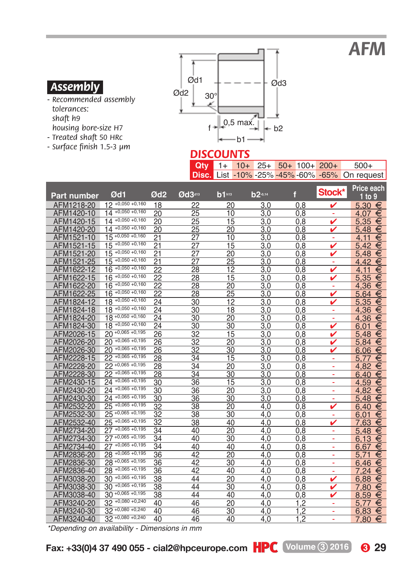*AFM*

#### *.Assembly.*

- *Recommended assembly tolerances: shaft h9 housing bore-size H7*
- *Treated shaft 50 HRc*
- *Surface finish 1.5-3 µm*



#### *DISCOUNTS*

|  |  |  | $Q$ ty 1+ 10+ 25+ 50+ 100+ 200+ | $500+$                                         |
|--|--|--|---------------------------------|------------------------------------------------|
|  |  |  |                                 | Disc. List -10% -25% -45% -60% -65% On request |

| <b>Part number</b> | Ød1                   | Ød <sub>2</sub> | Ød3413 | $b1n13}$ | b2-0.14 | f   | Stock* | <b>Price each</b><br>$1$ to 9 |
|--------------------|-----------------------|-----------------|--------|----------|---------|-----|--------|-------------------------------|
| AFM1218-20         | $12 +0,050 +0,160$    | 18              | 22     | 20       | 3.0     | 0.8 |        | 5.30<br>€                     |
| AFM1420-10         | $14 + 0.050 + 0.160$  | 20              | 25     | 10       | 3,0     | 0,8 | ÷      | €<br>4.07                     |
| AFM1420-15         | $14 + 0.050 + 0.160$  | 20              | 25     | 15       | 3.0     | 0.8 |        | 5.35<br>€                     |
| AFM1420-20         | $14 + 0.050 + 0.160$  | 20              | 25     | 20       | 3,0     | 0,8 |        | €<br>5.48                     |
| AFM1521-10         | $15 +0.050 +0.160$    | 21              | 27     | 10       | 3.0     | 0.8 |        | €<br>4.11                     |
| AFM1521-15         | $+0,050 +0,160$<br>15 | 21              | 27     | 15       | 3,0     | 0,8 | ✓      | €<br>5.42                     |
| AFM1521-20         | $+0,050 +0,160$<br>15 | 21              | 27     | 20       | 3,0     | 0.8 |        | 5.48<br>€                     |
| AFM1521-25         | $15 + 0.050 + 0.160$  | 21              | 27     | 25       | 3.0     | 0.8 | ۰      | 4,42<br>€                     |
| AFM1622-12         | $16 + 0.050 + 0.160$  | 22              | 28     | 12       | 3.0     | 0.8 | ✓      | €<br>4.11                     |
| AFM1622-15         | $16 + 0.050 + 0.160$  | 22              | 28     | 15       | 3,0     | 0,8 | ✓      | €<br>5.35                     |
| AFM1622-20         | $+0,050 +0,160$<br>16 | 22              | 28     | 20       | 3.0     | 0.8 | ۰      | 4.36<br>€                     |
| AFM1622-25         | $16^{+0,050+0,160}$   | 22              | 28     | 25       | 3.0     | 0.8 | ✓      | €<br>5.64                     |
| AFM1824-12         | $18 + 0.050 + 0.160$  | 24              | 30     | 12       | 3.0     | 0.8 |        | €<br>5.35                     |
| AFM1824-18         | $18 + 0.050 + 0.160$  | 24              | 30     | 18       | 3.0     | 0.8 | ÷      | €<br>4.36                     |
| AFM1824-20         | $18 + 0.050 + 0.160$  | 24              | 30     | 20       | 3.0     | 0.8 | ÷      | 4.36<br>€                     |
| AFM1824-30         | $18 + 0.050 + 0.160$  | 24              | 30     | 30       | 3.0     | 0.8 | v      | €<br>6.01                     |
| AFM2026-15         | $20 + 0.065 + 0.195$  | 26              | 32     | 15       | 3.0     | 0.8 | v      | €<br>5.48                     |
| AFM2026-20         | $20 + 0.065 + 0.195$  | 26              | 32     | 20       | 3,0     | 0,8 | ✓      | 5.84<br>€                     |
| AFM2026-30         | $+0,065 +0,195$<br>20 | 26              | 32     | 30       | 3,0     | 0.8 |        | €<br>6.06                     |
| AFM2228-15         | $22 + 0.065 + 0.195$  | 28              | 34     | 15       | 3.0     | 0.8 | ۰      | €<br>5.77                     |
| AFM2228-20         | $22 + 0.065 + 0.195$  | 28              | 34     | 20       | 3.0     | 0.8 | ۰      | 4.82<br>€                     |
| AFM2228-30         | $22 + 0.065 + 0.195$  | 28              | 34     | 30       | 3.0     | 0.8 | ÷      | €<br>6.40                     |
| AFM2430-15         | $24 + 0.065 + 0.195$  | 30              | 36     | 15       | 3,0     | 0,8 | ÷      | 4.59<br>€                     |
| AFM2430-20         | $24 + 0.065 + 0.195$  | 30              | 36     | 20       | 3.0     | 0.8 | ÷      | 4.82<br>€                     |
| AFM2430-30         | $24 + 0.065 + 0.195$  | 30              | 36     | 30       | 3.0     | 0.8 |        | 5.48<br>€                     |
| AFM2532-20         | $25 + 0.065 + 0.195$  | 32              | 38     | 20       | 4.0     | 0.8 | v      | €<br>6.40                     |
| AFM2532-30         | $25 + 0.065 + 0.195$  | 32              | 38     | 30       | 4.0     | 0.8 | ٠      | €<br>6.01                     |
| AFM2532-40         | $25 + 0.065 + 0.195$  | 32              | 38     | 40       | 4.0     | 0.8 |        | 7.63<br>€                     |
| AFM2734-20         | $27 + 0.065 + 0.195$  | 34              | 40     | 20       | 4.0     | 0,8 | ۰      | €<br>5.48                     |
| AFM2734-30         | $27 + 0.065 + 0.195$  | 34              | 40     | 30       | 4.0     | 0.8 |        | €<br>6.13                     |
| AFM2734-40         | $27 + 0.065 + 0.195$  | 34              | 40     | 40       | 4.0     | 0.8 | ÷      | €<br>6.67                     |
| AFM2836-20         | $28 + 0,065 + 0,195$  | 36              | 42     | 20       | 4.0     | 0.8 | ÷      | €<br>5.71                     |
| AFM2836-30         | $28 + 0.065 + 0.195$  | 36              | 42     | 30       | 4.0     | 0.8 | ۰      | €<br>6,46                     |
| AFM2836-40         | $28 + 0.065 + 0.195$  | 36              | 42     | 40       | 4.0     | 0.8 | ٠      | 7.24<br>€                     |
| AFM3038-20         | $30 + 0.065 + 0.195$  | 38              | 44     | 20       | 4.0     | 0,8 | v      | €<br>6.88                     |
| AFM3038-30         | $30 + 0.065 + 0.195$  | 38              | 44     | 30       | 4.0     | 0,8 | ✓      | €<br>7.80                     |
| AFM3038-40         | $30 + 0.065 + 0.195$  | 38              | 44     | 40       | 4.0     | 0.8 |        | 8.59<br>€                     |
| AFM3240-20         | $32 + 0.080 + 0.240$  | 40              | 46     | 20       | 4.0     | 1.2 | ٠      | €<br>5.77                     |
| AFM3240-30         | $32 + 0.080 + 0.240$  | 40              | 46     | 30       | 4.0     | 1.2 | ۰      | €<br>6.83                     |
| AFM3240-40         | $32 + 0.080 + 0.240$  | 40              | 46     | 40       | 4.0     | 1.2 | ÷      | 7,80<br>€                     |

*\*Depending on availability - Dimensions in mm*